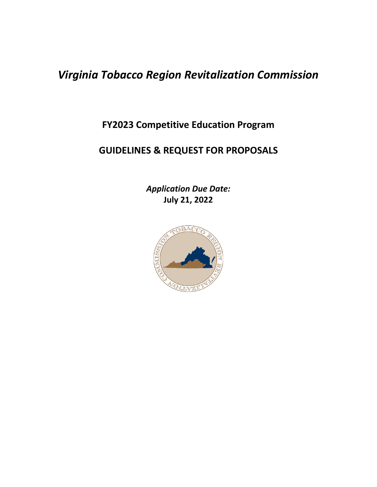# *Virginia Tobacco Region Revitalization Commission*

**FY2023 Competitive Education Program**

# **GUIDELINES & REQUEST FOR PROPOSALS**

*Application Due Date:*  **July 21, 2022**

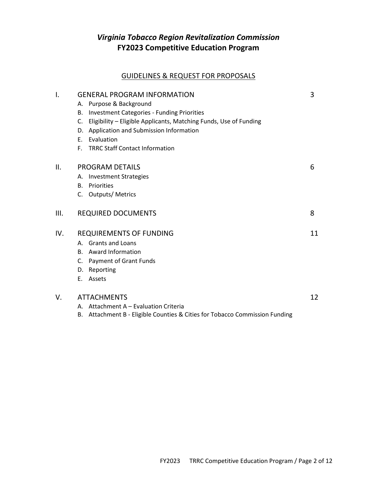# *Virginia Tobacco Region Revitalization Commission* **FY2023 Competitive Education Program**

# GUIDELINES & REQUEST FOR PROPOSALS

| I.  | <b>GENERAL PROGRAM INFORMATION</b>                                          | 3  |
|-----|-----------------------------------------------------------------------------|----|
|     | Purpose & Background<br>А.                                                  |    |
|     | <b>Investment Categories - Funding Priorities</b><br>В.                     |    |
|     | Eligibility - Eligible Applicants, Matching Funds, Use of Funding<br>C.     |    |
|     | D. Application and Submission Information                                   |    |
|     | E. Evaluation                                                               |    |
|     | F. TRRC Staff Contact Information                                           |    |
| ΙΙ. | <b>PROGRAM DETAILS</b>                                                      | 6  |
|     | A. Investment Strategies                                                    |    |
|     | Priorities<br><b>B.</b>                                                     |    |
|     | C. Outputs/Metrics                                                          |    |
| Ш.  | <b>REQUIRED DOCUMENTS</b>                                                   | 8  |
| IV. | <b>REQUIREMENTS OF FUNDING</b>                                              | 11 |
|     | A. Grants and Loans                                                         |    |
|     | B. Award Information                                                        |    |
|     | C. Payment of Grant Funds                                                   |    |
|     | D. Reporting                                                                |    |
|     | Assets<br>Е.                                                                |    |
| V.  | <b>ATTACHMENTS</b>                                                          |    |
|     | A. Attachment A – Evaluation Criteria                                       |    |
|     | B. Attachment B - Eligible Counties & Cities for Tobacco Commission Funding |    |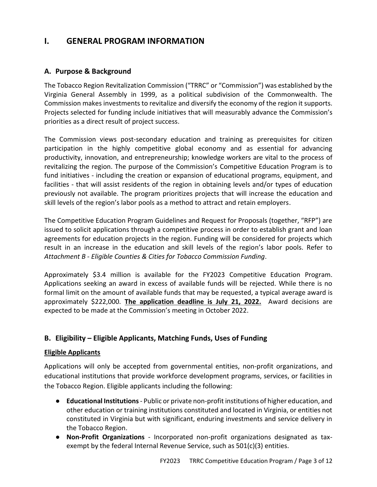# **I. GENERAL PROGRAM INFORMATION**

#### **A. Purpose & Background**

The Tobacco Region Revitalization Commission ("TRRC" or "Commission") was established by the Virginia General Assembly in 1999, as a political subdivision of the Commonwealth. The Commission makes investments to revitalize and diversify the economy of the region it supports. Projects selected for funding include initiatives that will measurably advance the Commission's priorities as a direct result of project success.

The Commission views post-secondary education and training as prerequisites for citizen participation in the highly competitive global economy and as essential for advancing productivity, innovation, and entrepreneurship; knowledge workers are vital to the process of revitalizing the region. The purpose of the Commission's Competitive Education Program is to fund initiatives - including the creation or expansion of educational programs, equipment, and facilities - that will assist residents of the region in obtaining levels and/or types of education previously not available. The program prioritizes projects that will increase the education and skill levels of the region's labor pools as a method to attract and retain employers.

The Competitive Education Program Guidelines and Request for Proposals (together, "RFP") are issued to solicit applications through a competitive process in order to establish grant and loan agreements for education projects in the region. Funding will be considered for projects which result in an increase in the education and skill levels of the region's labor pools. Refer to *Attachment B - Eligible Counties & Cities for Tobacco Commission Funding*.

Approximately \$3.4 million is available for the FY2023 Competitive Education Program. Applications seeking an award in excess of available funds will be rejected. While there is no formal limit on the amount of available funds that may be requested, a typical average award is approximately \$222,000. **The application deadline is July 21, 2022.** Award decisions are expected to be made at the Commission's meeting in October 2022.

# **B. Eligibility – Eligible Applicants, Matching Funds, Uses of Funding**

#### **Eligible Applicants**

Applications will only be accepted from governmental entities, non-profit organizations, and educational institutions that provide workforce development programs, services, or facilities in the Tobacco Region. Eligible applicants including the following:

- **Educational Institutions** Public or private non-profit institutions of higher education, and other education or training institutions constituted and located in Virginia, or entities not constituted in Virginia but with significant, enduring investments and service delivery in the Tobacco Region.
- **Non-Profit Organizations** Incorporated non-profit organizations designated as taxexempt by the federal Internal Revenue Service, such as 501(c)(3) entities.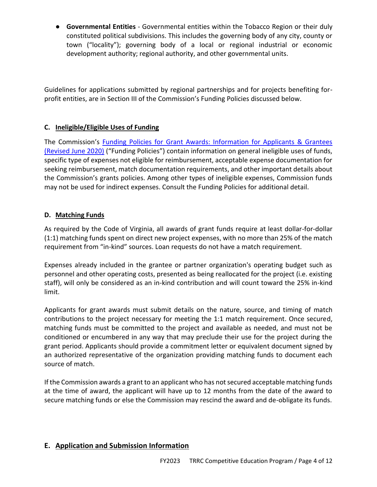● **Governmental Entities** - Governmental entities within the Tobacco Region or their duly constituted political subdivisions. This includes the governing body of any city, county or town ("locality"); governing body of a local or regional industrial or economic development authority; regional authority, and other governmental units.

Guidelines for applications submitted by regional partnerships and for projects benefiting forprofit entities, are in Section III of the Commission's Funding Policies discussed below.

# **C. Ineligible/Eligible Uses of Funding**

The Commission's [Funding Policies for Grant Awards: Information for Applicants & Grantees](https://www.revitalizeva.org/wp-content/uploads/2020/07/1Funding-Policies-6-22-2020-7-14-20.pdf)  [\(Revised June 2020\)](https://www.revitalizeva.org/wp-content/uploads/2020/07/1Funding-Policies-6-22-2020-7-14-20.pdf) [\("Funding Policies"\)](https://www.revitalizeva.org/wp-content/uploads/2020/07/1Funding-Policies-6-22-2020-7-14-20.pdf) contain information on general ineligible uses of funds, specific type of expenses not eligible for reimbursement, acceptable expense documentation for seeking reimbursement, match documentation requirements, and other important details about the Commission's grants policies. Among other types of ineligible expenses, Commission funds may not be used for indirect expenses. Consult the Funding Policies for additional detail.

#### **D. Matching Funds**

As required by the Code of Virginia, all awards of grant funds require at least dollar-for-dollar (1:1) matching funds spent on direct new project expenses, with no more than 25% of the match requirement from "in-kind" sources. Loan requests do not have a match requirement.

Expenses already included in the grantee or partner organization's operating budget such as personnel and other operating costs, presented as being reallocated for the project (i.e. existing staff), will only be considered as an in-kind contribution and will count toward the 25% in-kind limit.

Applicants for grant awards must submit details on the nature, source, and timing of match contributions to the project necessary for meeting the 1:1 match requirement. Once secured, matching funds must be committed to the project and available as needed, and must not be conditioned or encumbered in any way that may preclude their use for the project during the grant period. Applicants should provide a commitment letter or equivalent document signed by an authorized representative of the organization providing matching funds to document each source of match.

If the Commission awards a grant to an applicant who has not secured acceptable matching funds at the time of award, the applicant will have up to 12 months from the date of the award to secure matching funds or else the Commission may rescind the award and de-obligate its funds.

#### **E. Application and Submission Information**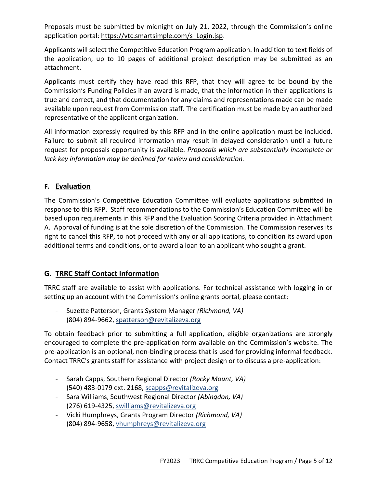Proposals must be submitted by midnight on July 21, 2022, through the Commission's online application portal: https://vtc.smartsimple.com/s\_Login.jsp.

Applicants will select the Competitive Education Program application. In addition to text fields of the application, up to 10 pages of additional project description may be submitted as an attachment.

Applicants must certify they have read this RFP, that they will agree to be bound by the Commission's Funding Policies if an award is made, that the information in their applications is true and correct, and that documentation for any claims and representations made can be made available upon request from Commission staff. The certification must be made by an authorized representative of the applicant organization.

All information expressly required by this RFP and in the online application must be included. Failure to submit all required information may result in delayed consideration until a future request for proposals opportunity is available. *Proposals which are substantially incomplete or lack key information may be declined for review and consideration.*

### **F. Evaluation**

The Commission's Competitive Education Committee will evaluate applications submitted in response to this RFP. Staff recommendations to the Commission's Education Committee will be based upon requirements in this RFP and the Evaluation Scoring Criteria provided in Attachment A. Approval of funding is at the sole discretion of the Commission. The Commission reserves its right to cancel this RFP, to not proceed with any or all applications, to condition its award upon additional terms and conditions, or to award a loan to an applicant who sought a grant.

# **G. TRRC Staff Contact Information**

TRRC staff are available to assist with applications. For technical assistance with logging in or setting up an account with the Commission's online grants portal, please contact:

- Suzette Patterson, Grants System Manager *(Richmond, VA)* (804) 894-9662, [spatterson@revitalizeva.org](mailto:spatterson@revitalizeva.org)

To obtain feedback prior to submitting a full application, eligible organizations are strongly encouraged to complete the pre-application form available on the Commission's website. The pre-application is an optional, non-binding process that is used for providing informal feedback. Contact TRRC's grants staff for assistance with project design or to discuss a pre-application:

- Sarah Capps, Southern Regional Director *(Rocky Mount, VA)* (540) 483-0179 ext. 2168, [scapps@revitalizeva.org](mailto:scapps@revitalizeva.org)
- Sara Williams, Southwest Regional Director *(Abingdon, VA)* (276) 619-4325, [swilliams@revitalizeva.org](mailto:swilliams@revitalizeva.org)
- Vicki Humphreys, Grants Program Director *(Richmond, VA)* (804) 894-9658, [vhumphreys@revitalizeva.org](mailto:vhumphreys@revitalizeva.org)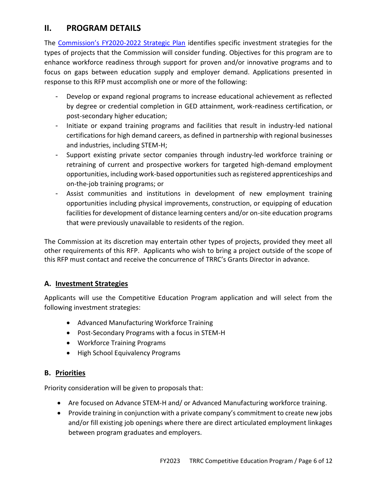# **II. PROGRAM DETAILS**

The [Commission's FY2020](https://www.revitalizeva.org/wp-content/uploads/2020/07/TRRC-2020-Strategic-Plan-Final-7-26-20.pdf)-2022 Strategic Plan identifies specific investment strategies for the types of projects that the Commission will consider funding. Objectives for this program are to enhance workforce readiness through support for proven and/or innovative programs and to focus on gaps between education supply and employer demand. Applications presented in response to this RFP must accomplish one or more of the following:

- Develop or expand regional programs to increase educational achievement as reflected by degree or credential completion in GED attainment, work-readiness certification, or post-secondary higher education;
- Initiate or expand training programs and facilities that result in industry-led national certifications for high demand careers, as defined in partnership with regional businesses and industries, including STEM-H;
- Support existing private sector companies through industry-led workforce training or retraining of current and prospective workers for targeted high-demand employment opportunities, including work-based opportunities such as registered apprenticeships and on-the-job training programs; or
- Assist communities and institutions in development of new employment training opportunities including physical improvements, construction, or equipping of education facilities for development of distance learning centers and/or on-site education programs that were previously unavailable to residents of the region.

The Commission at its discretion may entertain other types of projects, provided they meet all other requirements of this RFP. Applicants who wish to bring a project outside of the scope of this RFP must contact and receive the concurrence of TRRC's Grants Director in advance.

# **A. Investment Strategies**

Applicants will use the Competitive Education Program application and will select from the following investment strategies:

- Advanced Manufacturing Workforce Training
- Post-Secondary Programs with a focus in STEM-H
- Workforce Training Programs
- High School Equivalency Programs

#### **B. Priorities**

Priority consideration will be given to proposals that:

- Are focused on Advance STEM-H and/ or Advanced Manufacturing workforce training.
- Provide training in conjunction with a private company's commitment to create new jobs and/or fill existing job openings where there are direct articulated employment linkages between program graduates and employers.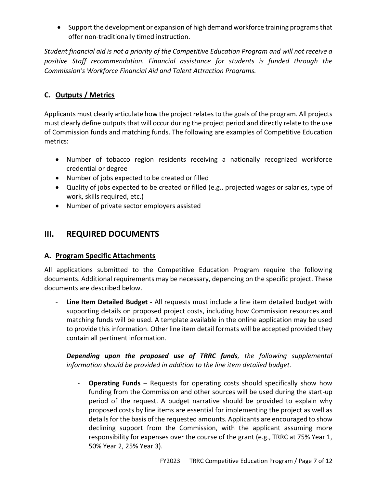• Support the development or expansion of high demand workforce training programs that offer non-traditionally timed instruction.

*Student financial aid is not a priority of the Competitive Education Program and will not receive a positive Staff recommendation. Financial assistance for students is funded through the Commission's Workforce Financial Aid and Talent Attraction Programs.*

# **C. Outputs / Metrics**

Applicants must clearly articulate how the project relates to the goals of the program. All projects must clearly define outputs that will occur during the project period and directly relate to the use of Commission funds and matching funds. The following are examples of Competitive Education metrics:

- Number of tobacco region residents receiving a nationally recognized workforce credential or degree
- Number of jobs expected to be created or filled
- Quality of jobs expected to be created or filled (e.g., projected wages or salaries, type of work, skills required, etc.)
- Number of private sector employers assisted

# **III. REQUIRED DOCUMENTS**

# **A. Program Specific Attachments**

All applications submitted to the Competitive Education Program require the following documents. Additional requirements may be necessary, depending on the specific project. These documents are described below.

Line Item Detailed Budget - All requests must include a line item detailed budget with supporting details on proposed project costs, including how Commission resources and matching funds will be used. A template available in the online application may be used to provide this information. Other line item detail formats will be accepted provided they contain all pertinent information.

*Depending upon the proposed use of TRRC funds, the following supplemental information should be provided in addition to the line item detailed budget.*

- **Operating Funds** – Requests for operating costs should specifically show how funding from the Commission and other sources will be used during the start-up period of the request. A budget narrative should be provided to explain why proposed costs by line items are essential for implementing the project as well as details for the basis of the requested amounts. Applicants are encouraged to show declining support from the Commission, with the applicant assuming more responsibility for expenses over the course of the grant (e.g., TRRC at 75% Year 1, 50% Year 2, 25% Year 3).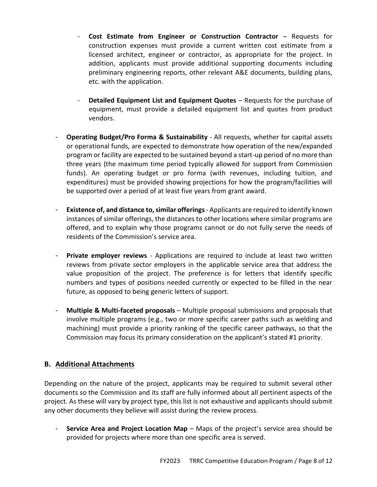- **Cost Estimate from Engineer or Construction Contractor** Requests for construction expenses must provide a current written cost estimate from a licensed architect, engineer or contractor, as appropriate for the project. In addition, applicants must provide additional supporting documents including preliminary engineering reports, other relevant A&E documents, building plans, etc. with the application.
- **Detailed Equipment List and Equipment Quotes** Requests for the purchase of equipment, must provide a detailed equipment list and quotes from product vendors.
- **Operating Budget/Pro Forma & Sustainability** All requests, whether for capital assets or operational funds, are expected to demonstrate how operation of the new/expanded program or facility are expected to be sustained beyond a start-up period of no more than three years (the maximum time period typically allowed for support from Commission funds). An operating budget or pro forma (with revenues, including tuition, and expenditures) must be provided showing projections for how the program/facilities will be supported over a period of at least five years from grant award.
- **Existence of, and distance to,similar offerings** Applicants are required to identify known instances of similar offerings, the distances to other locations where similar programs are offered, and to explain why those programs cannot or do not fully serve the needs of residents of the Commission's service area.
- **Private employer reviews** Applications are required to include at least two written reviews from private sector employers in the applicable service area that address the value proposition of the project. The preference is for letters that identify specific numbers and types of positions needed currently or expected to be filled in the near future, as opposed to being generic letters of support.
- **Multiple & Multi-faceted proposals** Multiple proposal submissions and proposals that involve multiple programs (e.g., two or more specific career paths such as welding and machining) must provide a priority ranking of the specific career pathways, so that the Commission may focus its primary consideration on the applicant's stated #1 priority.

#### **B. Additional Attachments**

Depending on the nature of the project, applicants may be required to submit several other documents so the Commission and its staff are fully informed about all pertinent aspects of the project. As these will vary by project type, this list is not exhaustive and applicants should submit any other documents they believe will assist during the review process.

**Service Area and Project Location Map** – Maps of the project's service area should be provided for projects where more than one specific area is served.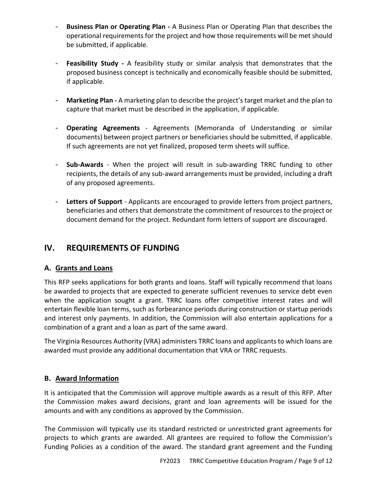- **Business Plan or Operating Plan -** A Business Plan or Operating Plan that describes the operational requirements for the project and how those requirements will be met should be submitted, if applicable.
- Feasibility Study A feasibility study or similar analysis that demonstrates that the proposed business concept is technically and economically feasible should be submitted, if applicable.
- Marketing Plan A marketing plan to describe the project's target market and the plan to capture that market must be described in the application, if applicable.
- **Operating Agreements** Agreements (Memoranda of Understanding or similar documents) between project partners or beneficiaries should be submitted, if applicable. If such agreements are not yet finalized, proposed term sheets will suffice.
- **Sub-Awards**  When the project will result in sub-awarding TRRC funding to other recipients, the details of any sub-award arrangements must be provided, including a draft of any proposed agreements.
- **Letters of Support**  Applicants are encouraged to provide letters from project partners, beneficiaries and others that demonstrate the commitment of resources to the project or document demand for the project. Redundant form letters of support are discouraged.

# **IV. REQUIREMENTS OF FUNDING**

# **A. Grants and Loans**

This RFP seeks applications for both grants and loans. Staff will typically recommend that loans be awarded to projects that are expected to generate sufficient revenues to service debt even when the application sought a grant. TRRC loans offer competitive interest rates and will entertain flexible loan terms, such as forbearance periods during construction or startup periods and interest only payments. In addition, the Commission will also entertain applications for a combination of a grant and a loan as part of the same award.

The Virginia Resources Authority (VRA) administers TRRC loans and applicants to which loans are awarded must provide any additional documentation that VRA or TRRC requests.

#### **B. Award Information**

It is anticipated that the Commission will approve multiple awards as a result of this RFP. After the Commission makes award decisions, grant and loan agreements will be issued for the amounts and with any conditions as approved by the Commission.

The Commission will typically use its standard restricted or unrestricted grant agreements for projects to which grants are awarded. All grantees are required to follow the Commission's Funding Policies as a condition of the award. The standard grant agreement and the Funding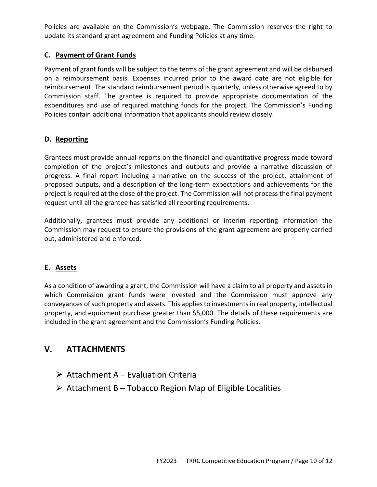Policies are available on the Commission's webpage. The Commission reserves the right to update its standard grant agreement and Funding Policies at any time.

# **C. Payment of Grant Funds**

Payment of grant funds will be subject to the terms of the grant agreement and will be disbursed on a reimbursement basis. Expenses incurred prior to the award date are not eligible for reimbursement. The standard reimbursement period is quarterly, unless otherwise agreed to by Commission staff. The grantee is required to provide appropriate documentation of the expenditures and use of required matching funds for the project. The Commission's Funding Policies contain additional information that applicants should review closely.

# **D. Reporting**

Grantees must provide annual reports on the financial and quantitative progress made toward completion of the project's milestones and outputs and provide a narrative discussion of progress. A final report including a narrative on the success of the project, attainment of proposed outputs, and a description of the long-term expectations and achievements for the project is required at the close of the project. The Commission will not process the final payment request until all the grantee has satisfied all reporting requirements.

Additionally, grantees must provide any additional or interim reporting information the Commission may request to ensure the provisions of the grant agreement are properly carried out, administered and enforced.

# **E. Assets**

As a condition of awarding a grant, the Commission will have a claim to all property and assets in which Commission grant funds were invested and the Commission must approve any conveyances of such property and assets. This applies to investments in real property, intellectual property, and equipment purchase greater than \$5,000. The details of these requirements are included in the grant agreement and the Commission's Funding Policies.

# **V. ATTACHMENTS**

- $\triangleright$  Attachment A Evaluation Criteria
- $\triangleright$  Attachment B Tobacco Region Map of Eligible Localities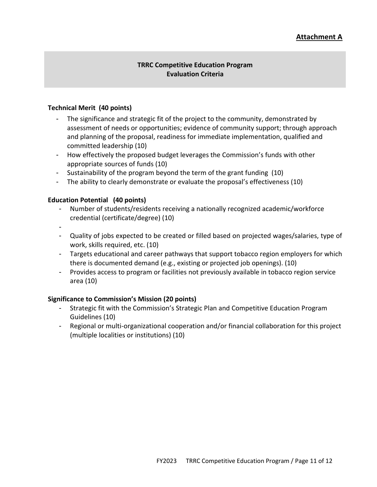# **Attachment A**

#### **TRRC Competitive Education Program Evaluation Criteria**

#### **Technical Merit (40 points)**

- The significance and strategic fit of the project to the community, demonstrated by assessment of needs or opportunities; evidence of community support; through approach and planning of the proposal, readiness for immediate implementation, qualified and committed leadership (10)
- How effectively the proposed budget leverages the Commission's funds with other appropriate sources of funds (10)
- Sustainability of the program beyond the term of the grant funding (10)
- The ability to clearly demonstrate or evaluate the proposal's effectiveness (10)

#### **Education Potential (40 points)**

- Number of students/residents receiving a nationally recognized academic/workforce credential (certificate/degree) (10)
- -
- Quality of jobs expected to be created or filled based on projected wages/salaries, type of work, skills required, etc. (10)
- Targets educational and career pathways that support tobacco region employers for which there is documented demand (e.g., existing or projected job openings). (10)
- Provides access to program or facilities not previously available in tobacco region service area (10)

#### **Significance to Commission's Mission (20 points)**

- Strategic fit with the Commission's Strategic Plan and Competitive Education Program Guidelines (10)
- Regional or multi-organizational cooperation and/or financial collaboration for this project (multiple localities or institutions) (10)